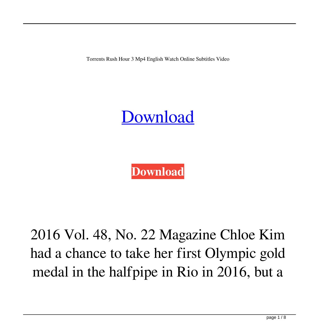Torrents Rush Hour 3 Mp4 English Watch Online Subtitles Video



**[Download](http://evacdir.com/hershey/karmic/increasing/limping.raki/ZG93bmxvYWR8WUczTW5jM1lYeDhNVFkxTWpjME1EZzJObng4TWpVM05IeDhLRTBwSUhKbFlXUXRZbXh2WnlCYlJtRnpkQ0JIUlU1ZA.strongesty.syphilis.cnVzaCBob3VyIDMgZnVsbCBtb3ZpZSB0YWdhbG9nIDMxcnV)**

2016 Vol. 48, No. 22 Magazine Chloe Kim had a chance to take her first Olympic gold medal in the halfpipe in Rio in 2016, but a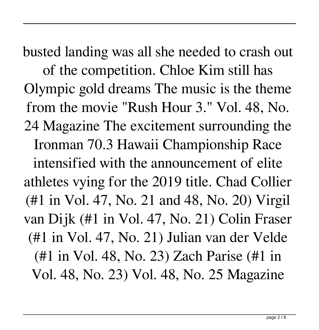busted landing was all she needed to crash out of the competition. Chloe Kim still has Olympic gold dreams The music is the theme from the movie "Rush Hour 3." Vol. 48, No. 24 Magazine The excitement surrounding the Ironman 70.3 Hawaii Championship Race intensified with the announcement of elite athletes vying for the 2019 title. Chad Collier (#1 in Vol. 47, No. 21 and 48, No. 20) Virgil van Dijk (#1 in Vol. 47, No. 21) Colin Fraser (#1 in Vol. 47, No. 21) Julian van der Velde (#1 in Vol. 48, No. 23) Zach Parise (#1 in Vol. 48, No. 23) Vol. 48, No. 25 Magazine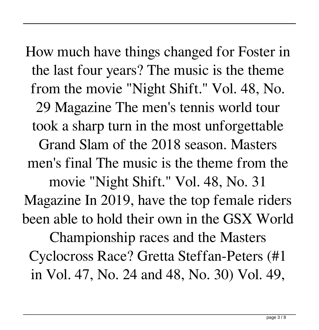How much have things changed for Foster in the last four years? The music is the theme from the movie "Night Shift." Vol. 48, No. 29 Magazine The men's tennis world tour took a sharp turn in the most unforgettable Grand Slam of the 2018 season. Masters men's final The music is the theme from the movie "Night Shift." Vol. 48, No. 31 Magazine In 2019, have the top female riders been able to hold their own in the GSX World Championship races and the Masters Cyclocross Race? Gretta Steffan-Peters (#1 in Vol. 47, No. 24 and 48, No. 30) Vol. 49,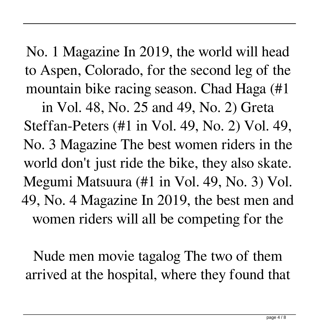No. 1 Magazine In 2019, the world will head to Aspen, Colorado, for the second leg of the mountain bike racing season. Chad Haga (#1

in Vol. 48, No. 25 and 49, No. 2) Greta Steffan-Peters (#1 in Vol. 49, No. 2) Vol. 49, No. 3 Magazine The best women riders in the world don't just ride the bike, they also skate. Megumi Matsuura (#1 in Vol. 49, No. 3) Vol. 49, No. 4 Magazine In 2019, the best men and women riders will all be competing for the

Nude men movie tagalog The two of them arrived at the hospital, where they found that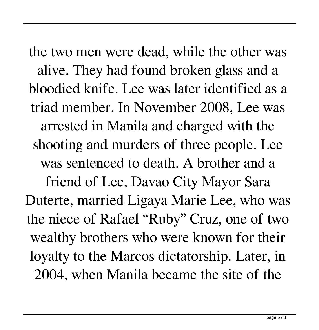the two men were dead, while the other was alive. They had found broken glass and a bloodied knife. Lee was later identified as a triad member. In November 2008, Lee was arrested in Manila and charged with the shooting and murders of three people. Lee was sentenced to death. A brother and a friend of Lee, Davao City Mayor Sara Duterte, married Ligaya Marie Lee, who was the niece of Rafael "Ruby" Cruz, one of two wealthy brothers who were known for their loyalty to the Marcos dictatorship. Later, in 2004, when Manila became the site of the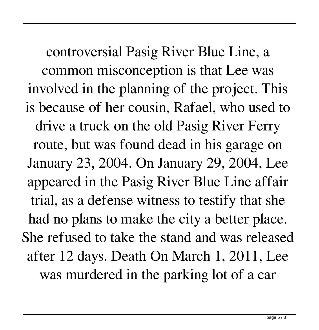controversial Pasig River Blue Line, a common misconception is that Lee was involved in the planning of the project. This is because of her cousin, Rafael, who used to drive a truck on the old Pasig River Ferry route, but was found dead in his garage on January 23, 2004. On January 29, 2004, Lee appeared in the Pasig River Blue Line affair trial, as a defense witness to testify that she had no plans to make the city a better place. She refused to take the stand and was released after 12 days. Death On March 1, 2011, Lee was murdered in the parking lot of a car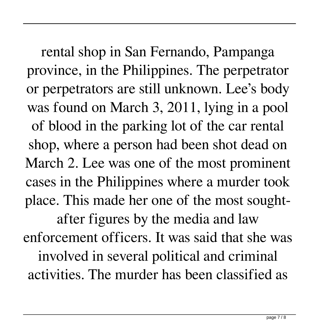rental shop in San Fernando, Pampanga province, in the Philippines. The perpetrator or perpetrators are still unknown. Lee's body was found on March 3, 2011, lying in a pool of blood in the parking lot of the car rental shop, where a person had been shot dead on March 2. Lee was one of the most prominent cases in the Philippines where a murder took place. This made her one of the most sought-

after figures by the media and law enforcement officers. It was said that she was involved in several political and criminal activities. The murder has been classified as